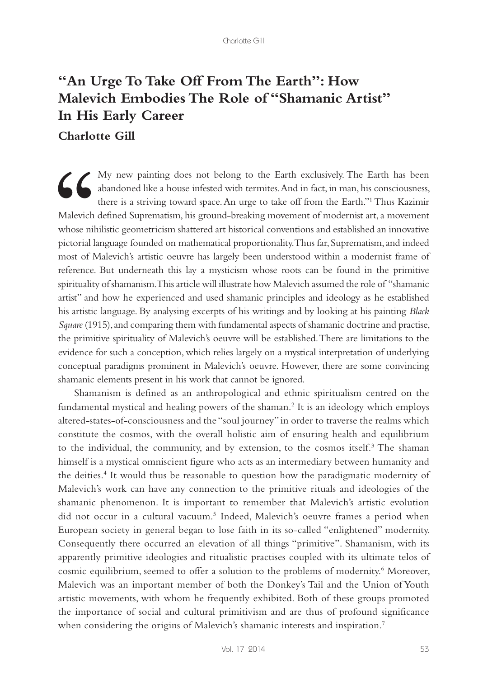## **"An Urge To Take Off From The Earth": How Malevich Embodies The Role of "Shamanic Artist" In His Early Career**

## **Charlotte Gill**

My new painting does not belong to the Earth exclusively. The Earth has been<br>
abandoned like a house infested with termites. And in fact, in man, his consciousness,<br>
there is a striving toward space. An urge to take off fr abandoned like a house infested with termites. And in fact, in man, his consciousness, there is a striving toward space. An urge to take off from the Earth."1 Thus Kazimir Malevich defined Suprematism, his ground-breaking movement of modernist art, a movement whose nihilistic geometricism shattered art historical conventions and established an innovative pictorial language founded on mathematical proportionality. Thus far, Suprematism, and indeed most of Malevich's artistic oeuvre has largely been understood within a modernist frame of reference. But underneath this lay a mysticism whose roots can be found in the primitive spirituality of shamanism. This article will illustrate how Malevich assumed the role of "shamanic artist" and how he experienced and used shamanic principles and ideology as he established his artistic language. By analysing excerpts of his writings and by looking at his painting *Black Square* (1915), and comparing them with fundamental aspects of shamanic doctrine and practise, the primitive spirituality of Malevich's oeuvre will be established. There are limitations to the evidence for such a conception, which relies largely on a mystical interpretation of underlying conceptual paradigms prominent in Malevich's oeuvre. However, there are some convincing shamanic elements present in his work that cannot be ignored.

Shamanism is defined as an anthropological and ethnic spiritualism centred on the fundamental mystical and healing powers of the shaman.2 It is an ideology which employs altered-states-of-consciousness and the "soul journey" in order to traverse the realms which constitute the cosmos, with the overall holistic aim of ensuring health and equilibrium to the individual, the community, and by extension, to the cosmos itself.<sup>3</sup> The shaman himself is a mystical omniscient figure who acts as an intermediary between humanity and the deities.<sup>4</sup> It would thus be reasonable to question how the paradigmatic modernity of Malevich's work can have any connection to the primitive rituals and ideologies of the shamanic phenomenon. It is important to remember that Malevich's artistic evolution did not occur in a cultural vacuum.<sup>5</sup> Indeed, Malevich's oeuvre frames a period when European society in general began to lose faith in its so-called "enlightened" modernity. Consequently there occurred an elevation of all things "primitive". Shamanism, with its apparently primitive ideologies and ritualistic practises coupled with its ultimate telos of cosmic equilibrium, seemed to offer a solution to the problems of modernity.<sup>6</sup> Moreover, Malevich was an important member of both the Donkey's Tail and the Union of Youth artistic movements, with whom he frequently exhibited. Both of these groups promoted the importance of social and cultural primitivism and are thus of profound significance when considering the origins of Malevich's shamanic interests and inspiration.<sup>7</sup>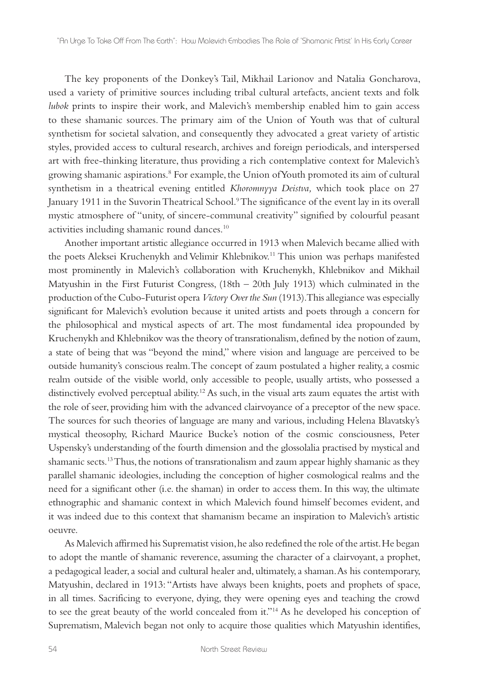The key proponents of the Donkey's Tail, Mikhail Larionov and Natalia Goncharova, used a variety of primitive sources including tribal cultural artefacts, ancient texts and folk *lubok* prints to inspire their work, and Malevich's membership enabled him to gain access to these shamanic sources. The primary aim of the Union of Youth was that of cultural synthetism for societal salvation, and consequently they advocated a great variety of artistic styles, provided access to cultural research, archives and foreign periodicals, and interspersed art with free-thinking literature, thus providing a rich contemplative context for Malevich's growing shamanic aspirations.8 For example, the Union of Youth promoted its aim of cultural synthetism in a theatrical evening entitled *Khoromnyya Deistva,* which took place on 27 January 1911 in the Suvorin Theatrical School.<sup>9</sup> The significance of the event lay in its overall mystic atmosphere of "unity, of sincere-communal creativity" signified by colourful peasant activities including shamanic round dances.10

Another important artistic allegiance occurred in 1913 when Malevich became allied with the poets Aleksei Kruchenykh and Velimir Khlebnikov.11 This union was perhaps manifested most prominently in Malevich's collaboration with Kruchenykh, Khlebnikov and Mikhail Matyushin in the First Futurist Congress, (18th – 20th July 1913) which culminated in the production of the Cubo-Futurist opera *Victory Over the Sun* (1913). This allegiance was especially significant for Malevich's evolution because it united artists and poets through a concern for the philosophical and mystical aspects of art. The most fundamental idea propounded by Kruchenykh and Khlebnikov was the theory of transrationalism, defined by the notion of zaum, a state of being that was "beyond the mind," where vision and language are perceived to be outside humanity's conscious realm. The concept of zaum postulated a higher reality, a cosmic realm outside of the visible world, only accessible to people, usually artists, who possessed a distinctively evolved perceptual ability.<sup>12</sup> As such, in the visual arts zaum equates the artist with the role of seer, providing him with the advanced clairvoyance of a preceptor of the new space. The sources for such theories of language are many and various, including Helena Blavatsky's mystical theosophy, Richard Maurice Bucke's notion of the cosmic consciousness, Peter Uspensky's understanding of the fourth dimension and the glossolalia practised by mystical and shamanic sects.13 Thus, the notions of transrationalism and zaum appear highly shamanic as they parallel shamanic ideologies, including the conception of higher cosmological realms and the need for a significant other (i.e. the shaman) in order to access them. In this way, the ultimate ethnographic and shamanic context in which Malevich found himself becomes evident, and it was indeed due to this context that shamanism became an inspiration to Malevich's artistic oeuvre.

As Malevich affirmed his Suprematist vision, he also redefined the role of the artist. He began to adopt the mantle of shamanic reverence, assuming the character of a clairvoyant, a prophet, a pedagogical leader, a social and cultural healer and, ultimately, a shaman. As his contemporary, Matyushin, declared in 1913: "Artists have always been knights, poets and prophets of space, in all times. Sacrificing to everyone, dying, they were opening eyes and teaching the crowd to see the great beauty of the world concealed from it."14 As he developed his conception of Suprematism, Malevich began not only to acquire those qualities which Matyushin identifies,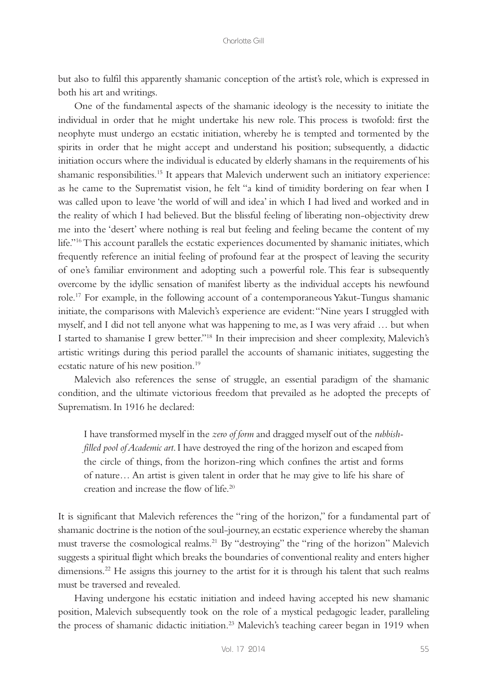but also to fulfil this apparently shamanic conception of the artist's role, which is expressed in both his art and writings.

One of the fundamental aspects of the shamanic ideology is the necessity to initiate the individual in order that he might undertake his new role. This process is twofold: first the neophyte must undergo an ecstatic initiation, whereby he is tempted and tormented by the spirits in order that he might accept and understand his position; subsequently, a didactic initiation occurs where the individual is educated by elderly shamans in the requirements of his shamanic responsibilities.15 It appears that Malevich underwent such an initiatory experience: as he came to the Suprematist vision, he felt "a kind of timidity bordering on fear when I was called upon to leave 'the world of will and idea' in which I had lived and worked and in the reality of which I had believed. But the blissful feeling of liberating non-objectivity drew me into the 'desert' where nothing is real but feeling and feeling became the content of my life."16 This account parallels the ecstatic experiences documented by shamanic initiates, which frequently reference an initial feeling of profound fear at the prospect of leaving the security of one's familiar environment and adopting such a powerful role. This fear is subsequently overcome by the idyllic sensation of manifest liberty as the individual accepts his newfound role.17 For example, in the following account of a contemporaneous Yakut-Tungus shamanic initiate, the comparisons with Malevich's experience are evident: "Nine years I struggled with myself, and I did not tell anyone what was happening to me, as I was very afraid … but when I started to shamanise I grew better."18 In their imprecision and sheer complexity, Malevich's artistic writings during this period parallel the accounts of shamanic initiates, suggesting the ecstatic nature of his new position.<sup>19</sup>

Malevich also references the sense of struggle, an essential paradigm of the shamanic condition, and the ultimate victorious freedom that prevailed as he adopted the precepts of Suprematism. In 1916 he declared:

I have transformed myself in the *zero of form* and dragged myself out of the *rubbishfilled pool of Academic art*. I have destroyed the ring of the horizon and escaped from the circle of things, from the horizon-ring which confines the artist and forms of nature… An artist is given talent in order that he may give to life his share of creation and increase the flow of life.20

It is significant that Malevich references the "ring of the horizon," for a fundamental part of shamanic doctrine is the notion of the soul-journey, an ecstatic experience whereby the shaman must traverse the cosmological realms.21 By "destroying" the "ring of the horizon" Malevich suggests a spiritual flight which breaks the boundaries of conventional reality and enters higher dimensions.<sup>22</sup> He assigns this journey to the artist for it is through his talent that such realms must be traversed and revealed.

Having undergone his ecstatic initiation and indeed having accepted his new shamanic position, Malevich subsequently took on the role of a mystical pedagogic leader, paralleling the process of shamanic didactic initiation.<sup>23</sup> Malevich's teaching career began in 1919 when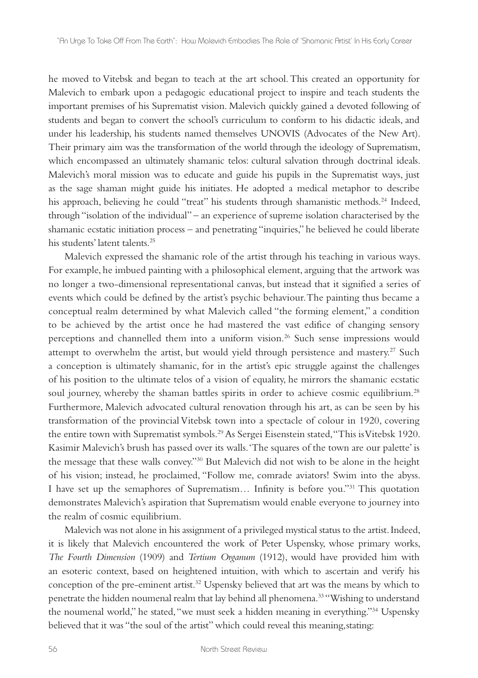he moved to Vitebsk and began to teach at the art school. This created an opportunity for Malevich to embark upon a pedagogic educational project to inspire and teach students the important premises of his Suprematist vision. Malevich quickly gained a devoted following of students and began to convert the school's curriculum to conform to his didactic ideals, and under his leadership, his students named themselves UNOVIS (Advocates of the New Art). Their primary aim was the transformation of the world through the ideology of Suprematism, which encompassed an ultimately shamanic telos: cultural salvation through doctrinal ideals. Malevich's moral mission was to educate and guide his pupils in the Suprematist ways, just as the sage shaman might guide his initiates. He adopted a medical metaphor to describe his approach, believing he could "treat" his students through shamanistic methods.<sup>24</sup> Indeed, through "isolation of the individual" – an experience of supreme isolation characterised by the shamanic ecstatic initiation process – and penetrating "inquiries," he believed he could liberate his students' latent talents<sup>25</sup>

Malevich expressed the shamanic role of the artist through his teaching in various ways. For example, he imbued painting with a philosophical element, arguing that the artwork was no longer a two-dimensional representational canvas, but instead that it signified a series of events which could be defined by the artist's psychic behaviour. The painting thus became a conceptual realm determined by what Malevich called "the forming element," a condition to be achieved by the artist once he had mastered the vast edifice of changing sensory perceptions and channelled them into a uniform vision.<sup>26</sup> Such sense impressions would attempt to overwhelm the artist, but would yield through persistence and mastery.<sup>27</sup> Such a conception is ultimately shamanic, for in the artist's epic struggle against the challenges of his position to the ultimate telos of a vision of equality, he mirrors the shamanic ecstatic soul journey, whereby the shaman battles spirits in order to achieve cosmic equilibrium.<sup>28</sup> Furthermore, Malevich advocated cultural renovation through his art, as can be seen by his transformation of the provincial Vitebsk town into a spectacle of colour in 1920, covering the entire town with Suprematist symbols.<sup>29</sup> As Sergei Eisenstein stated, "This is Vitebsk 1920. Kasimir Malevich's brush has passed over its walls. 'The squares of the town are our palette' is the message that these walls convey."30 But Malevich did not wish to be alone in the height of his vision; instead, he proclaimed, "Follow me, comrade aviators! Swim into the abyss. I have set up the semaphores of Suprematism… Infinity is before you."31 This quotation demonstrates Malevich's aspiration that Suprematism would enable everyone to journey into the realm of cosmic equilibrium.

Malevich was not alone in his assignment of a privileged mystical status to the artist. Indeed, it is likely that Malevich encountered the work of Peter Uspensky, whose primary works, *The Fourth Dimension* (1909) and *Tertium Organum* (1912), would have provided him with an esoteric context, based on heightened intuition, with which to ascertain and verify his conception of the pre-eminent artist.32 Uspensky believed that art was the means by which to penetrate the hidden noumenal realm that lay behind all phenomena.<sup>33</sup> "Wishing to understand the noumenal world," he stated, "we must seek a hidden meaning in everything."34 Uspensky believed that it was "the soul of the artist" which could reveal this meaning,stating: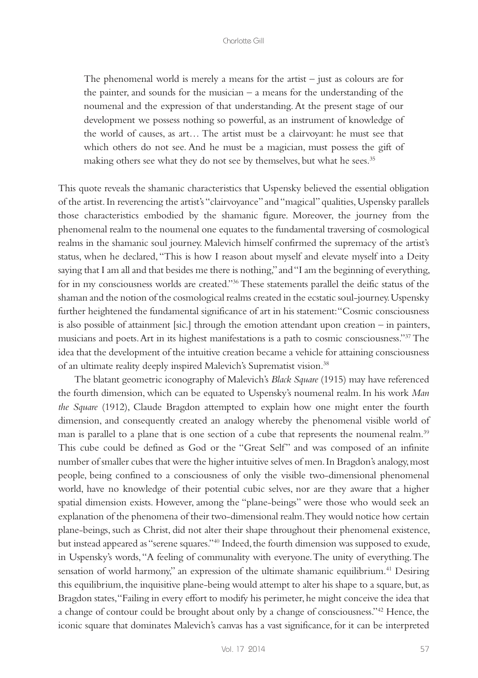The phenomenal world is merely a means for the artist  $-$  just as colours are for the painter, and sounds for the musician – a means for the understanding of the noumenal and the expression of that understanding. At the present stage of our development we possess nothing so powerful, as an instrument of knowledge of the world of causes, as art… The artist must be a clairvoyant: he must see that which others do not see. And he must be a magician, must possess the gift of making others see what they do not see by themselves, but what he sees.<sup>35</sup>

This quote reveals the shamanic characteristics that Uspensky believed the essential obligation of the artist. In reverencing the artist's "clairvoyance" and "magical" qualities, Uspensky parallels those characteristics embodied by the shamanic figure. Moreover, the journey from the phenomenal realm to the noumenal one equates to the fundamental traversing of cosmological realms in the shamanic soul journey. Malevich himself confirmed the supremacy of the artist's status, when he declared, "This is how I reason about myself and elevate myself into a Deity saying that I am all and that besides me there is nothing," and "I am the beginning of everything, for in my consciousness worlds are created."36 These statements parallel the deific status of the shaman and the notion of the cosmological realms created in the ecstatic soul-journey. Uspensky further heightened the fundamental significance of art in his statement: "Cosmic consciousness is also possible of attainment [sic.] through the emotion attendant upon creation – in painters, musicians and poets. Art in its highest manifestations is a path to cosmic consciousness."37 The idea that the development of the intuitive creation became a vehicle for attaining consciousness of an ultimate reality deeply inspired Malevich's Suprematist vision.<sup>38</sup>

The blatant geometric iconography of Malevich's *Black Square* (1915) may have referenced the fourth dimension, which can be equated to Uspensky's noumenal realm. In his work *Man the Square* (1912), Claude Bragdon attempted to explain how one might enter the fourth dimension, and consequently created an analogy whereby the phenomenal visible world of man is parallel to a plane that is one section of a cube that represents the noumenal realm.<sup>39</sup> This cube could be defined as God or the "Great Self" and was composed of an infinite number of smaller cubes that were the higher intuitive selves of men. In Bragdon's analogy, most people, being confined to a consciousness of only the visible two-dimensional phenomenal world, have no knowledge of their potential cubic selves, nor are they aware that a higher spatial dimension exists. However, among the "plane-beings" were those who would seek an explanation of the phenomena of their two-dimensional realm. They would notice how certain plane-beings, such as Christ, did not alter their shape throughout their phenomenal existence, but instead appeared as "serene squares."40 Indeed, the fourth dimension was supposed to exude, in Uspensky's words, "A feeling of communality with everyone. The unity of everything. The sensation of world harmony," an expression of the ultimate shamanic equilibrium.<sup>41</sup> Desiring this equilibrium, the inquisitive plane-being would attempt to alter his shape to a square, but, as Bragdon states, "Failing in every effort to modify his perimeter, he might conceive the idea that a change of contour could be brought about only by a change of consciousness."42 Hence, the iconic square that dominates Malevich's canvas has a vast significance, for it can be interpreted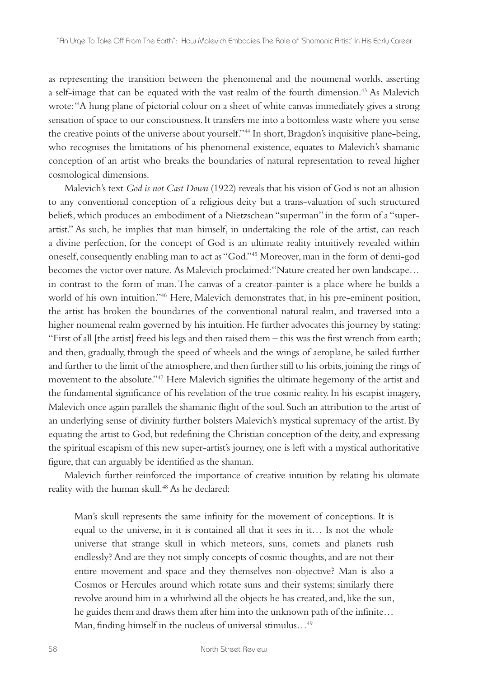as representing the transition between the phenomenal and the noumenal worlds, asserting a self-image that can be equated with the vast realm of the fourth dimension.43 As Malevich wrote: "A hung plane of pictorial colour on a sheet of white canvas immediately gives a strong sensation of space to our consciousness. It transfers me into a bottomless waste where you sense the creative points of the universe about yourself."44 In short, Bragdon's inquisitive plane-being, who recognises the limitations of his phenomenal existence, equates to Malevich's shamanic conception of an artist who breaks the boundaries of natural representation to reveal higher cosmological dimensions.

Malevich's text *God is not Cast Down* (1922) reveals that his vision of God is not an allusion to any conventional conception of a religious deity but a trans-valuation of such structured beliefs, which produces an embodiment of a Nietzschean "superman" in the form of a "superartist." As such, he implies that man himself, in undertaking the role of the artist, can reach a divine perfection, for the concept of God is an ultimate reality intuitively revealed within oneself, consequently enabling man to act as "God."45 Moreover, man in the form of demi-god becomes the victor over nature. As Malevich proclaimed: "Nature created her own landscape… in contrast to the form of man. The canvas of a creator-painter is a place where he builds a world of his own intuition."46 Here, Malevich demonstrates that, in his pre-eminent position, the artist has broken the boundaries of the conventional natural realm, and traversed into a higher noumenal realm governed by his intuition. He further advocates this journey by stating: "First of all [the artist] freed his legs and then raised them – this was the first wrench from earth; and then, gradually, through the speed of wheels and the wings of aeroplane, he sailed further and further to the limit of the atmosphere, and then further still to his orbits, joining the rings of movement to the absolute."47 Here Malevich signifies the ultimate hegemony of the artist and the fundamental significance of his revelation of the true cosmic reality. In his escapist imagery, Malevich once again parallels the shamanic flight of the soul. Such an attribution to the artist of an underlying sense of divinity further bolsters Malevich's mystical supremacy of the artist. By equating the artist to God, but redefining the Christian conception of the deity, and expressing the spiritual escapism of this new super-artist's journey, one is left with a mystical authoritative figure, that can arguably be identified as the shaman.

Malevich further reinforced the importance of creative intuition by relating his ultimate reality with the human skull.<sup>48</sup> As he declared:

Man's skull represents the same infinity for the movement of conceptions. It is equal to the universe, in it is contained all that it sees in it… Is not the whole universe that strange skull in which meteors, suns, comets and planets rush endlessly? And are they not simply concepts of cosmic thoughts, and are not their entire movement and space and they themselves non-objective? Man is also a Cosmos or Hercules around which rotate suns and their systems; similarly there revolve around him in a whirlwind all the objects he has created, and, like the sun, he guides them and draws them after him into the unknown path of the infinite… Man, finding himself in the nucleus of universal stimulus…49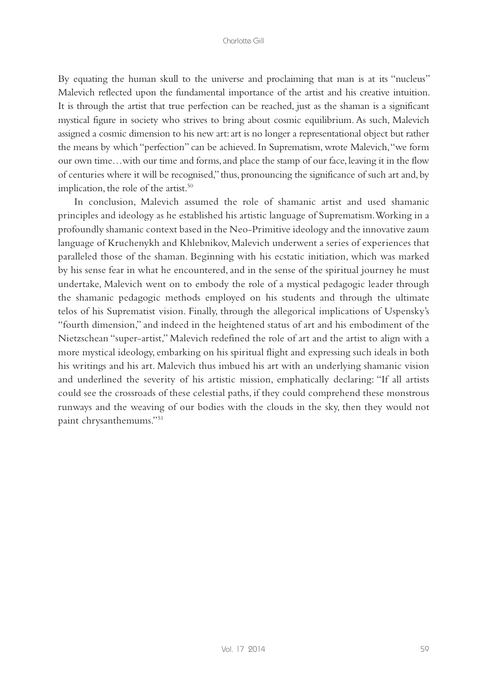By equating the human skull to the universe and proclaiming that man is at its "nucleus" Malevich reflected upon the fundamental importance of the artist and his creative intuition. It is through the artist that true perfection can be reached, just as the shaman is a significant mystical figure in society who strives to bring about cosmic equilibrium. As such, Malevich assigned a cosmic dimension to his new art: art is no longer a representational object but rather the means by which "perfection" can be achieved. In Suprematism, wrote Malevich, "we form our own time…with our time and forms, and place the stamp of our face, leaving it in the flow of centuries where it will be recognised," thus, pronouncing the significance of such art and, by implication, the role of the artist.<sup>50</sup>

In conclusion, Malevich assumed the role of shamanic artist and used shamanic principles and ideology as he established his artistic language of Suprematism. Working in a profoundly shamanic context based in the Neo-Primitive ideology and the innovative zaum language of Kruchenykh and Khlebnikov, Malevich underwent a series of experiences that paralleled those of the shaman. Beginning with his ecstatic initiation, which was marked by his sense fear in what he encountered, and in the sense of the spiritual journey he must undertake, Malevich went on to embody the role of a mystical pedagogic leader through the shamanic pedagogic methods employed on his students and through the ultimate telos of his Suprematist vision. Finally, through the allegorical implications of Uspensky's "fourth dimension," and indeed in the heightened status of art and his embodiment of the Nietzschean "super-artist," Malevich redefined the role of art and the artist to align with a more mystical ideology, embarking on his spiritual flight and expressing such ideals in both his writings and his art. Malevich thus imbued his art with an underlying shamanic vision and underlined the severity of his artistic mission, emphatically declaring: "If all artists could see the crossroads of these celestial paths, if they could comprehend these monstrous runways and the weaving of our bodies with the clouds in the sky, then they would not paint chrysanthemums."51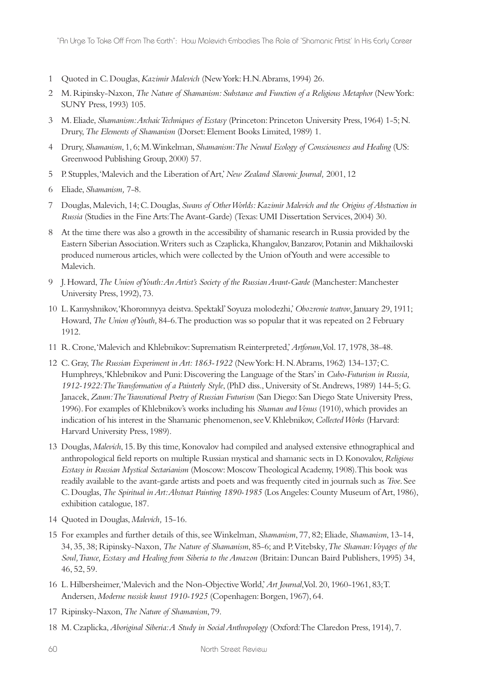- 1 Quoted in C. Douglas, *Kazimir Malevich* (New York: H.N. Abrams, 1994) 26.
- 2 M. Ripinsky-Naxon, *The Nature of Shamanism: Substance and Function of a Religious Metaphor* (New York: SUNY Press, 1993) 105.
- 3 M. Eliade, *Shamanism: Archaic Techniques of Ecstasy* (Princeton: Princeton University Press, 1964) 1-5; N. Drury, *The Elements of Shamanism* (Dorset: Element Books Limited, 1989) 1.
- 4 Drury, *Shamanism*, 1, 6; M. Winkelman, *Shamanism: The Neural Ecology of Consciousness and Healing* (US: Greenwood Publishing Group, 2000) 57.
- 5 P. Stupples, 'Malevich and the Liberation of Art,' *New Zealand Slavonic Journal,* 2001, 12
- 6 Eliade, *Shamanism,* 7-8.
- 7 Douglas, Malevich, 14; C. Douglas, *Swans of Other Worlds: Kazimir Malevich and the Origins of Abstraction in Russia* (Studies in the Fine Arts: The Avant-Garde) (Texas: UMI Dissertation Services, 2004) 30.
- 8 At the time there was also a growth in the accessibility of shamanic research in Russia provided by the Eastern Siberian Association. Writers such as Czaplicka, Khangalov, Banzarov, Potanin and Mikhailovski produced numerous articles, which were collected by the Union of Youth and were accessible to Malevich.
- 9 J. Howard, *The Union of Youth: An Artist's Society of the Russian Avant-Garde* (Manchester: Manchester University Press, 1992), 73.
- 10 L. Kamyshnikov, 'Khoromnyya deistva. Spektakl' Soyuza molodezhi,' *Obozrenie teatrov*, January 29, 1911; Howard, *The Union of Youth,* 84-6. The production was so popular that it was repeated on 2 February 1912.
- 11 R. Crone, 'Malevich and Khlebnikov: Suprematism Reinterpreted,' *Artforum*, Vol. 17, 1978, 38-48.
- 12 C. Gray, *The Russian Experiment in Art: 1863-1922* (New York: H. N. Abrams, 1962) 134-137; C. Humphreys, 'Khlebnikov and Puni: Discovering the Language of the Stars' in *Cubo-Futurism in Russia, 1912-1922: The Transformation of a Painterly Style*, (PhD diss., University of St. Andrews, 1989) 144-5; G. Janacek, *Zaum: The Transrational Poetry of Russian Futurism* (San Diego: San Diego State University Press, 1996). For examples of Khlebnikov's works including his *Shaman and Venus* (1910), which provides an indication of his interest in the Shamanic phenomenon, see V. Khlebnikov, *Collected Works* (Harvard: Harvard University Press, 1989).
- 13 Douglas, *Malevich*, 15. By this time, Konovalov had compiled and analysed extensive ethnographical and anthropological field reports on multiple Russian mystical and shamanic sects in D. Konovalov, *Religious Ecstasy in Russian Mystical Sectarianism* (Moscow: Moscow Theological Academy, 1908). This book was readily available to the avant-garde artists and poets and was frequently cited in journals such as *Troe*. See C. Douglas, *The Spiritual in Art: Abstract Painting 1890-1985* (Los Angeles: County Museum of Art, 1986), exhibition catalogue, 187.
- 14 Quoted in Douglas, *Malevich,* 15-16.
- 15 For examples and further details of this, see Winkelman, *Shamanism*, 77, 82; Eliade, *Shamanism*, 13-14, 34, 35, 38; Ripinsky-Naxon, *The Nature of Shamanism*, 85-6; and P. Vitebsky*, The Shaman: Voyages of the Soul, Trance, Ecstasy and Healing from Siberia to the Amazon* (Britain: Duncan Baird Publishers, 1995) 34, 46, 52, 59.
- 16 L. Hilbersheimer, 'Malevich and the Non-Objective World,' *Art Journal*, Vol. 20, 1960-1961, 83; T. Andersen, *Moderne russisk kunst 1910-1925* (Copenhagen: Borgen, 1967), 64.
- 17 Ripinsky-Naxon, *The Nature of Shamanism*, 79.
- 18 M. Czaplicka, *Aboriginal Siberia: A Study in Social Anthropology* (Oxford: The Claredon Press, 1914), 7.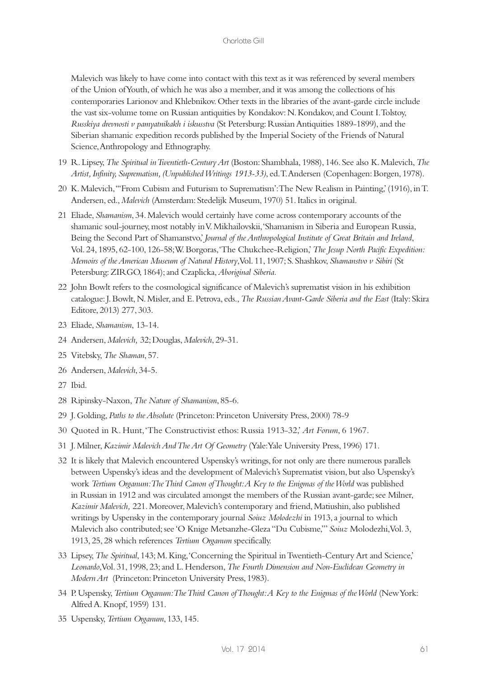Malevich was likely to have come into contact with this text as it was referenced by several members of the Union of Youth, of which he was also a member, and it was among the collections of his contemporaries Larionov and Khlebnikov. Other texts in the libraries of the avant-garde circle include the vast six-volume tome on Russian antiquities by Kondakov: N. Kondakov, and Count I. Tolstoy, *Russkiya drevnosti v pamyatnikakh i iskusstva* (St Petersburg: Russian Antiquities 1889-1899), and the Siberian shamanic expedition records published by the Imperial Society of the Friends of Natural Science, Anthropology and Ethnography.

- 19 R. Lipsey, *The Spiritual in Twentieth-Century Art* (Boston: Shambhala, 1988), 146. See also K. Malevich, *The Artist, Infinity, Suprematism, (Unpublished Writings 1913-33)*, ed. T. Andersen (Copenhagen: Borgen, 1978).
- 20 K. Malevich, '''From Cubism and Futurism to Suprematism': The New Realism in Painting,' (1916), in T. Andersen, ed., *Malevich* (Amsterdam: Stedelijk Museum, 1970) 51. Italics in original.
- 21 Eliade, *Shamanism*, 34. Malevich would certainly have come across contemporary accounts of the shamanic soul-journey, most notably in V. Mikhailovskii, 'Shamanism in Siberia and European Russia, Being the Second Part of Shamanstvo,' *Journal of the Anthropological Institute of Great Britain and Ireland*, Vol. 24, 1895, 62-100, 126-58; W. Borgoras, 'The Chukchee-Religion,' *The Jesup North Pacific Expedition: Memoirs of the American Museum of Natural History*, Vol. 11, 1907; S. Shashkov, *Shamanstvo v Sibiri* (St Petersburg: ZIRGO, 1864); and Czaplicka, *Aboriginal Siberia.*
- 22 John Bowlt refers to the cosmological significance of Malevich's suprematist vision in his exhibition catalogue: J. Bowlt, N. Misler, and E. Petrova, eds., *The Russian Avant-Garde Siberia and the East* (Italy: Skira Editore, 2013) 277, 303.
- 23 Eliade, *Shamanism*, 13-14.
- 24 Andersen, *Malevich,* 32; Douglas, *Malevich*, 29-31.
- 25 Vitebsky, *The Shaman*, 57.
- 26 Andersen, *Malevich*, 34-5.
- 27 Ibid.
- 28 Ripinsky-Naxon, *The Nature of Shamanism*, 85-6.
- 29 J. Golding, *Paths to the Absolute* (Princeton: Princeton University Press, 2000) 78-9
- 30 Quoted in R. Hunt, 'The Constructivist ethos: Russia 1913-32,' *Art Forum*, 6 1967.
- 31 J. Milner, *Kazimir Malevich And The Art Of Geometry* (Yale: Yale University Press, 1996) 171.
- 32 It is likely that Malevich encountered Uspensky's writings, for not only are there numerous parallels between Uspensky's ideas and the development of Malevich's Suprematist vision, but also Uspensky's work *Tertium Organum: The Third Canon of Thought: A Key to the Enigmas of the World was published* in Russian in 1912 and was circulated amongst the members of the Russian avant-garde; see Milner, *Kazimir Malevich,* 221. Moreover, Malevich's contemporary and friend, Matiushin, also published writings by Uspensky in the contemporary journal *Soiuz Molodezhi* in 1913, a journal to which Malevich also contributed; see 'O Knige Metsanzhe-Gleza "Du Cubisme,"' *Soiuz* Molodezhi, Vol. 3, 1913, 25, 28 which references *Tertium Organum* specifically.
- 33 Lipsey, *The Spiritual*, 143; M. King, 'Concerning the Spiritual in Twentieth-Century Art and Science,' *Leonardo*, Vol. 31, 1998, 23; and L. Henderson, *The Fourth Dimension and Non-Euclidean Geometry in Modern Art* (Princeton: Princeton University Press, 1983).
- 34 P. Uspensky, *Tertium Organum: The Third Canon of Thought: A Key to the Enigmas of the World* (New York: Alfred A. Knopf, 1959) 131.
- 35 Uspensky, *Tertium Organum*, 133, 145.